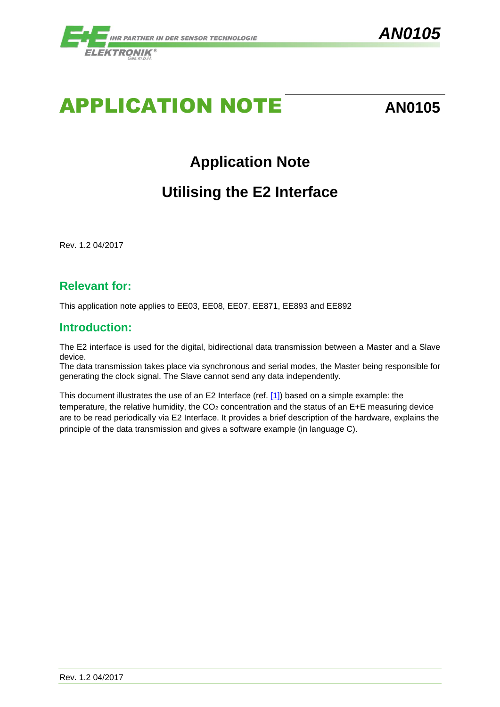

# APPLICATION NOTE **AN0105**

## **Application Note**

## **Utilising the E2 Interface**

Rev. 1.2 04/2017

#### **Relevant for:**

This application note applies to EE03, EE08, EE07, EE871, EE893 and EE892

#### **Introduction:**

The E2 interface is used for the digital, bidirectional data transmission between a Master and a Slave device.

The data transmission takes place via synchronous and serial modes, the Master being responsible for generating the clock signal. The Slave cannot send any data independently.

This document illustrates the use of an E2 Interface (ref. [\[1\]\)](#page-2-0) based on a simple example: the temperature, the relative humidity, the  $CO<sub>2</sub>$  concentration and the status of an E+E measuring device are to be read periodically via E2 Interface. It provides a brief description of the hardware, explains the principle of the data transmission and gives a software example (in language C).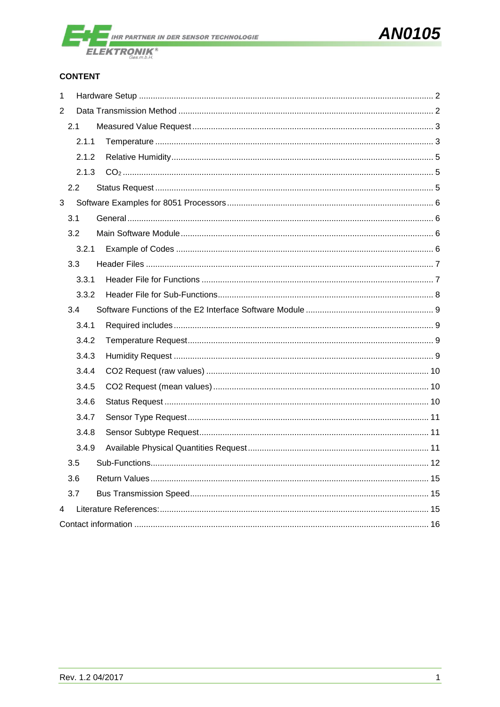

#### **CONTENT**

| $\mathbf 1$ |               |  |
|-------------|---------------|--|
| 2           |               |  |
|             | 2.1           |  |
|             | 2.1.1         |  |
|             | 2.1.2         |  |
|             | 2.1.3         |  |
|             | $2.2^{\circ}$ |  |
| 3           |               |  |
|             | 3.1           |  |
|             | 3.2           |  |
|             | 3.2.1         |  |
|             | 3.3           |  |
|             | 3.3.1         |  |
|             | 3.3.2         |  |
|             | 3.4           |  |
|             | 3.4.1         |  |
|             | 3.4.2         |  |
|             | 3.4.3         |  |
|             | 3.4.4         |  |
|             | 3.4.5         |  |
|             | 3.4.6         |  |
|             | 3.4.7         |  |
|             | 3.4.8         |  |
|             | 3.4.9         |  |
|             | 3.5           |  |
|             | 3.6           |  |
|             | 3.7           |  |
| 4           |               |  |
|             |               |  |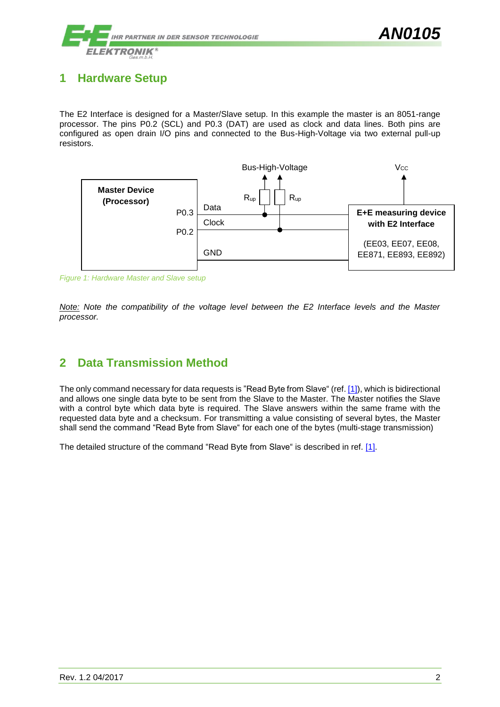

### <span id="page-2-1"></span>**1 Hardware Setup**

The E2 Interface is designed for a Master/Slave setup. In this example the master is an 8051-range processor. The pins P0.2 (SCL) and P0.3 (DAT) are used as clock and data lines. Both pins are configured as open drain I/O pins and connected to the Bus-High-Voltage via two external pull-up resistors.



*Figure 1: Hardware Master and Slave setup*

*Note: Note the compatibility of the voltage level between the E2 Interface levels and the Master processor.*

#### <span id="page-2-2"></span>**2 Data Transmission Method**

<span id="page-2-0"></span>The only command necessary for data requests is "Read Byte from Slave" (ref[. \[1\]\)](#page-2-0), which is bidirectional and allows one single data byte to be sent from the Slave to the Master. The Master notifies the Slave with a control byte which data byte is required. The Slave answers within the same frame with the requested data byte and a checksum. For transmitting a value consisting of several bytes, the Master shall send the command "Read Byte from Slave" for each one of the bytes (multi-stage transmission)

The detailed structure of the command "Read Byte from Slave" is described in ref. [\[1\].](#page-2-0)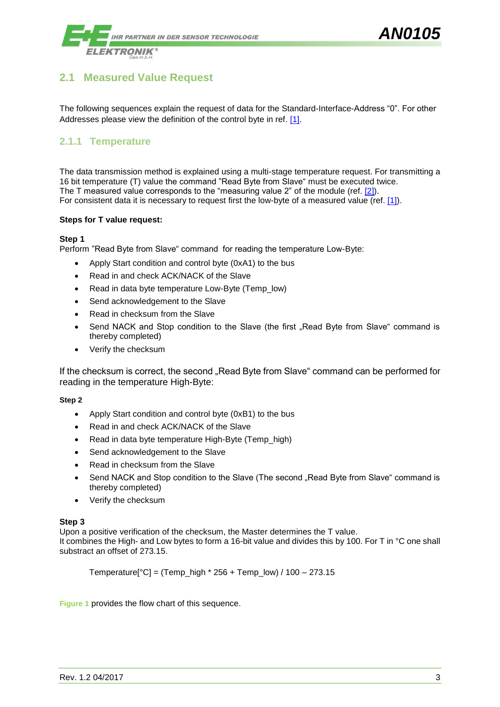

#### <span id="page-3-0"></span>**2.1 Measured Value Request**

The following sequences explain the request of data for the Standard-Interface-Address "0". For other Addresses please view the definition of the control byte in ref. [\[1\].](#page-2-0)

#### <span id="page-3-1"></span>**2.1.1 Temperature**

The data transmission method is explained using a multi-stage temperature request. For transmitting a 16 bit temperature (T) value the command "Read Byte from Slave" must be executed twice. The T measured value corresponds to the "measuring value 2" of the module (ref. [\[2\]\)](#page-15-3). For consistent data it is necessary to request first the low-byte of a measured value (ref. [\[1\]\)](#page-2-0).

#### **Steps for T value request:**

#### **Step 1**

Perform "Read Byte from Slave" command for reading the temperature Low-Byte:

- Apply Start condition and control byte (0xA1) to the bus
- Read in and check ACK/NACK of the Slave
- Read in data byte temperature Low-Byte (Temp\_low)
- Send acknowledgement to the Slave
- Read in checksum from the Slave
- Send NACK and Stop condition to the Slave (the first "Read Byte from Slave" command is thereby completed)
- Verify the checksum

If the checksum is correct, the second "Read Byte from Slave" command can be performed for reading in the temperature High-Byte:

#### **Step 2**

- Apply Start condition and control byte (0xB1) to the bus
- Read in and check ACK/NACK of the Slave
- Read in data byte temperature High-Byte (Temp\_high)
- Send acknowledgement to the Slave
- Read in checksum from the Slave
- Send NACK and Stop condition to the Slave (The second "Read Byte from Slave" command is thereby completed)
- Verify the checksum

#### **Step 3**

Upon a positive verification of the checksum, the Master determines the T value.

It combines the High- and Low bytes to form a 16-bit value and divides this by 100. For T in °C one shall substract an offset of 273.15.

Temperature[ $^{\circ}$ C] = (Temp\_high  $*$  256 + Temp\_low) / 100 - 273.15

**[Figure 1](#page-4-0)** provides the flow chart of this sequence.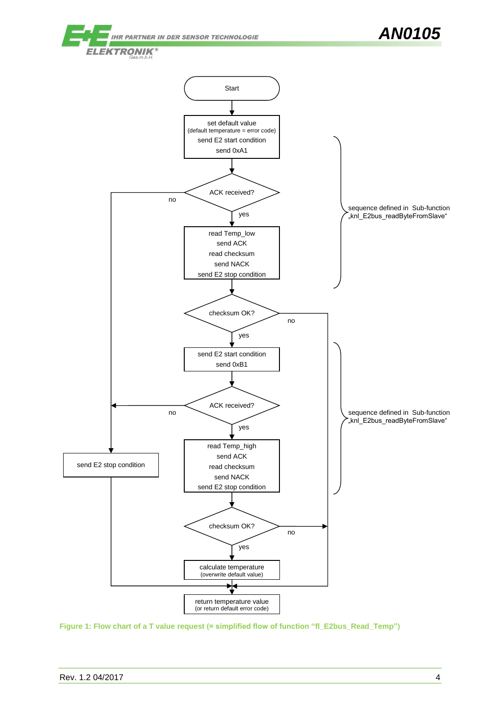

<span id="page-4-0"></span>**Figure 1: Flow chart of a T value request (= simplified flow of function "fl\_E2bus\_Read\_Temp")**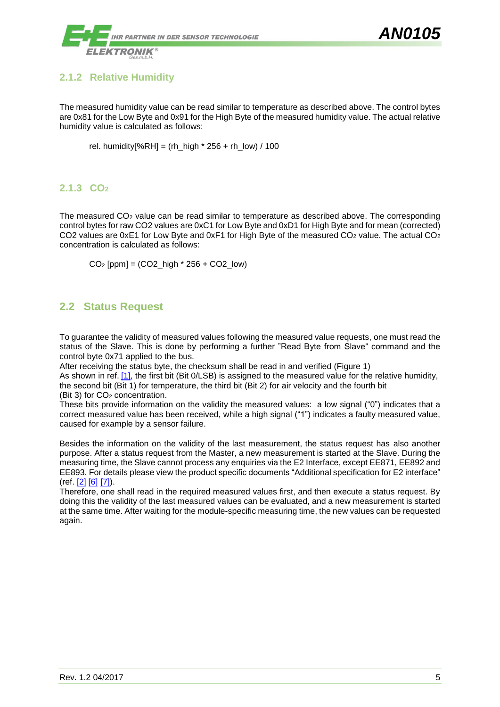

#### <span id="page-5-0"></span>**2.1.2 Relative Humidity**

The measured humidity value can be read similar to temperature as described above. The control bytes are 0x81 for the Low Byte and 0x91 for the High Byte of the measured humidity value. The actual relative humidity value is calculated as follows:

rel. humidity $[%RH] = (rh_{high} * 256 + rh_{low}) / 100$ 

#### <span id="page-5-1"></span>**2.1.3 CO<sup>2</sup>**

The measured  $CO<sub>2</sub>$  value can be read similar to temperature as described above. The corresponding control bytes for raw CO2 values are 0xC1 for Low Byte and 0xD1 for High Byte and for mean (corrected) CO2 values are 0xE1 for Low Byte and 0xF1 for High Byte of the measured CO<sub>2</sub> value. The actual CO<sub>2</sub> concentration is calculated as follows:

 $CO<sub>2</sub>$  [ppm] = (CO2\_high  $*$  256 + CO2\_low)

#### <span id="page-5-2"></span>**2.2 Status Request**

To guarantee the validity of measured values following the measured value requests, one must read the status of the Slave. This is done by performing a further "Read Byte from Slave" command and the control byte 0x71 applied to the bus.

After receiving the status byte, the checksum shall be read in and verified [\(Figure 1\)](#page-4-0)

As shown in ref. [\[1\],](#page-2-0) the first bit (Bit 0/LSB) is assigned to the measured value for the relative humidity, the second bit (Bit 1) for temperature, the third bit (Bit 2) for air velocity and the fourth bit

(Bit 3) for CO<sub>2</sub> concentration.

These bits provide information on the validity the measured values: a low signal ("0") indicates that a correct measured value has been received, while a high signal ("1") indicates a faulty measured value, caused for example by a sensor failure.

Besides the information on the validity of the last measurement, the status request has also another purpose. After a status request from the Master, a new measurement is started at the Slave. During the measuring time, the Slave cannot process any enquiries via the E2 Interface, except EE871, EE892 and EE893. For details please view the product specific documents "Additional specification for E2 interface"  $(ref [2] [6] [7])$  $(ref [2] [6] [7])$  $(ref [2] [6] [7])$  $(ref [2] [6] [7])$  $(ref [2] [6] [7])$  $(ref [2] [6] [7])$ .

Therefore, one shall read in the required measured values first, and then execute a status request. By doing this the validity of the last measured values can be evaluated, and a new measurement is started at the same time. After waiting for the module-specific measuring time, the new values can be requested again.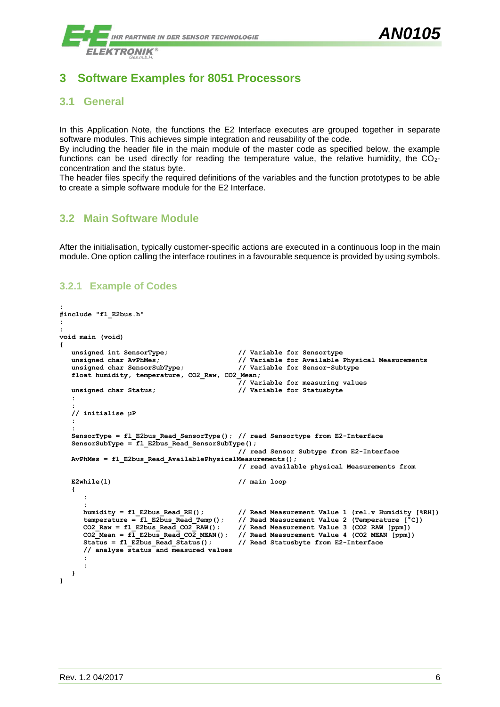### <span id="page-6-0"></span>**3 Software Examples for 8051 Processors**

#### <span id="page-6-1"></span>**3.1 General**

In this Application Note, the functions the E2 Interface executes are grouped together in separate software modules. This achieves simple integration and reusability of the code.

By including the header file in the main module of the master code as specified below, the example functions can be used directly for reading the temperature value, the relative humidity, the CO2concentration and the status byte.

The header files specify the required definitions of the variables and the function prototypes to be able to create a simple software module for the E2 Interface.

#### <span id="page-6-2"></span>**3.2 Main Software Module**

After the initialisation, typically customer-specific actions are executed in a continuous loop in the main module. One option calling the interface routines in a favourable sequence is provided by using symbols.

#### <span id="page-6-3"></span>**3.2.1 Example of Codes**

```
:
#include "fl_E2bus.h"
:
:
void main (void)
{
   unsigned int SensorType; // Variable for Sensortype
   unsigned char AvPhMes; // Variable for Available Physical Measurements
   unsigned char SensorSubType; // Variable for Sensor-Subtype
   float humidity, temperature, CO2_Raw, CO2_Mean;
                                             // Variable for measuring values
   unsigned char Status; // Variable for Statusbyte
   :
   :
   // initialise µP
   :
   :
   SensorType = fl_E2bus_Read_SensorType(); // read Sensortype from E2-Interface
   SensorSubType = fl E2bus_Read_SensorSubType();
                                             // read Sensor Subtype from E2-Interface
   AvPhMes = fl_E2bus_Read_AvailablePhysicalMeasurements();
                                             // read available physical Measurements from 
  E2while(1) // main loop
   {
      :
      :
     humidity = fl_E2bus_Read_RH(); // Read Measurement Value 1 (rel.v Humidity [%RH])
      temperature = fl_E2bus_Read_Temp(); // Read Measurement Value 2 (Temperature [°C])<br>CO2_Raw = fl_E2bus_Read_CO2_RAW(); // Read Measurement Value 3 (CO2_RAW [ppm])
     CO2_Raw = fl_E2bus_Read_CO2_RAW(); // Read Measurement Value 3 (CO2 RAW [ppm])
     CO2_Mean = fl_E2bus_Read_CO2_MEAN(); // Read Measurement Value 4 (CO2 MEAN [ppm])
                                             Status = fl_E2bus_Read_Status(); // Read Statusbyte from E2-Interface
     // analyse status and measured values
      :
      :
   }
}
```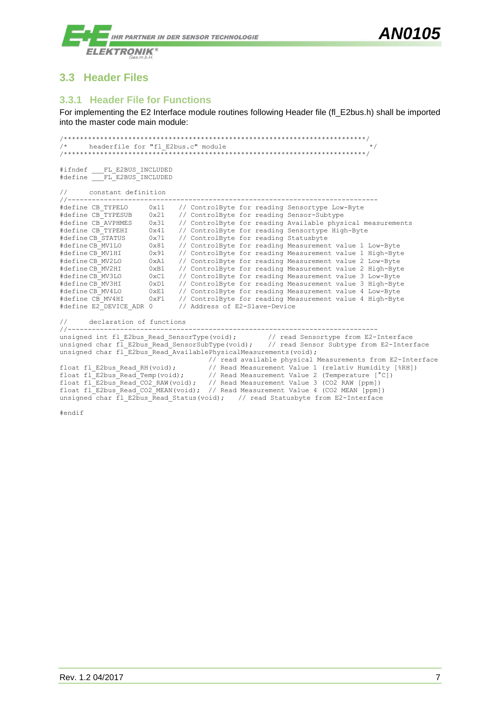

#### <span id="page-7-0"></span>**3.3 Header Files**

#### <span id="page-7-1"></span>**3.3.1 Header File for Functions**

For implementing the E2 Interface module routines following Header file (fl\_E2bus.h) shall be imported into the master code main module:

```
/***************************************************************************/
/* headerfile for "fl_E2bus.c" module */
/***************************************************************************/
#ifndef FL E2BUS INCLUDED
#define FL E2BUS INCLUDED
```

| // constant definition<br>//-------------------- |               |                                                                                                       |
|--------------------------------------------------|---------------|-------------------------------------------------------------------------------------------------------|
| #define CB TYPELO                                | 0x11          | // ControlByte for reading Sensortype Low-Byte                                                        |
| #define CB TYPESUB                               | 0x21          | // ControlByte for reading Sensor-Subtype                                                             |
| #define CB AVPHMES                               | 0x31          | // ControlByte for reading Available physical measurements                                            |
| #define CB TYPEHI                                | 0x41          | // ControlByte for reading Sensortype High-Byte                                                       |
| #defineCB STATUS                                 | 0x71          | // ControlByte for reading Statusbyte                                                                 |
| #defineCB MV1LO                                  | $0 \times 81$ | // ControlByte for reading Measurement value 1 Low-Byte                                               |
| #defineCB MV1HI                                  | 0x91          | // ControlByte for reading Measurement value 1 High-Byte                                              |
| #defineCB MV2LO                                  | 0xA1          | // ControlByte for reading Measurement value 2 Low-Byte                                               |
| #defineCB MV2HI                                  | 0xB1          | // ControlByte for reading Measurement value 2 High-Byte                                              |
| #defineCB MV3LO                                  | 0xC1          | // ControlByte for reading Measurement value 3 Low-Byte                                               |
| #defineCB MV3HI                                  | 0xD1          | // ControlByte for reading Measurement value 3 High-Byte                                              |
| #defineCB MV4LO                                  | 0xE1          | // ControlByte for reading Measurement value 4 Low-Byte                                               |
| #define CB MV4HI                                 | $0 \times F1$ | // ControlByte for reading Measurement value 4 High-Byte                                              |
| #define E2 DEVICE ADR 0                          |               | // Address of E2-Slave-Device                                                                         |
| // declaration of functions                      |               |                                                                                                       |
|                                                  |               |                                                                                                       |
|                                                  |               | unsigned int fl E2bus Read SensorType(void); // read Sensortype from E2-Interface                     |
|                                                  |               | unsigned char fl E2bus Read SensorSubType(void); // read Sensor Subtype from E2-Interface             |
|                                                  |               | unsigned char fl E2bus Read AvailablePhysicalMeasurements (void) ;                                    |
|                                                  |               | // read available physical Measurements from E2-Interface                                             |
|                                                  |               | float fl E2bus Read RH(void); // Read Measurement Value 1 (relativ Humidity [%RH])                    |
|                                                  |               | float fl E2bus Read Temp(void); $\frac{1}{2}$ Read Measurement Value 2 (Temperature $[^{^{\circ}C}])$ |
|                                                  |               | float fl E2bus Read CO2 RAW (void); // Read Measurement Value 3 (CO2 RAW [ppm])                       |

float fl\_E2bus Read CO2\_MEAN(void); // Read Measurement Value 4 (CO2\_MEAN [ppm]) unsigned char  $\overline{f}$ l E2bus Read Status(void); // read Statusbyte from E2-Interface

#endif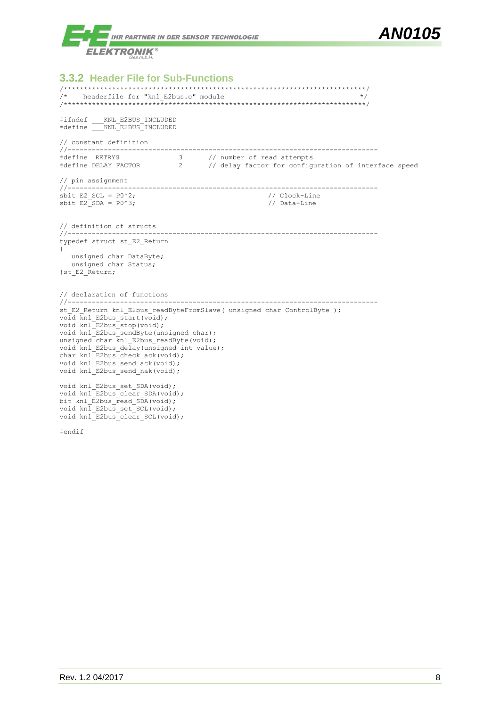

<span id="page-8-0"></span>**3.3.2 Header File for Sub-Functions** /\*\*\*\*\*\*\*\*\*\*\*\*\*\*\*\*\*\*\*\*\*\*\*\*\*\*\*\*\*\*\*\*\*\*\*\*\*\*\*\*\*\*\*\*\*\*\*\*\*\*\*\*\*\*\*\*\*\*\*\*\*\*\*\*\*\*\*\*\*\*\*\*\*\*\*/  $/*$  headerfile for "knl E2bus.c" module /\*\*\*\*\*\*\*\*\*\*\*\*\*\*\*\*\*\*\*\*\*\*\*\*\*\*\*\*\*\*\*\*\*\*\*\*\*\*\*\*\*\*\*\*\*\*\*\*\*\*\*\*\*\*\*\*\*\*\*\*\*\*\*\*\*\*\*\*\*\*\*\*\*\*\*/ #ifndef \_\_\_KNL\_E2BUS\_INCLUDED #define \_\_\_KNL\_E2BUS\_INCLUDED // constant definition //----------------------------------------------------------------------------- #define RETRYS 3 // number of read attempts #define DELAY\_FACTOR 2 // delay factor for configuration of interface speed // pin assignment //-----------------------------------------------------------------------------  $\text{shift E2\_SCL} = P0^2;$ <br>  $\text{shift E2\_SDA} = P0^3;$ <br>
// Data-Line sbit E2<sup>SDA</sup> = P0^3; // definition of structs //---------------------------------------------------------------------------- typedef struct st\_E2\_Return { unsigned char DataByte; unsigned char Status; }st\_E2\_Return; // declaration of functions<br>//-------------------------//---------------------------------------------------------------------------- st E2 Return knl E2bus readByteFromSlave( unsigned char ControlByte ); void  $\overline{k}$ nl E2bus start(void); void knl E2bus stop(void); void knl E2bus sendByte(unsigned char); unsigned char knl\_E2bus\_readByte(void); void knl E2bus delay(unsigned int value); char knl E2bus check ack(void); void  $knl$  E2bus send  $ack(void)$ ; void knl<sup>E2bus</sup> send nak(void); void knl E2bus set SDA(void); void knl E2bus clear SDA(void); bit knl\_E2bus\_read\_SDA(void); void knl E2bus set SCL(void); void knl\_E2bus\_clear\_SCL(void);

#endif

*AN0105*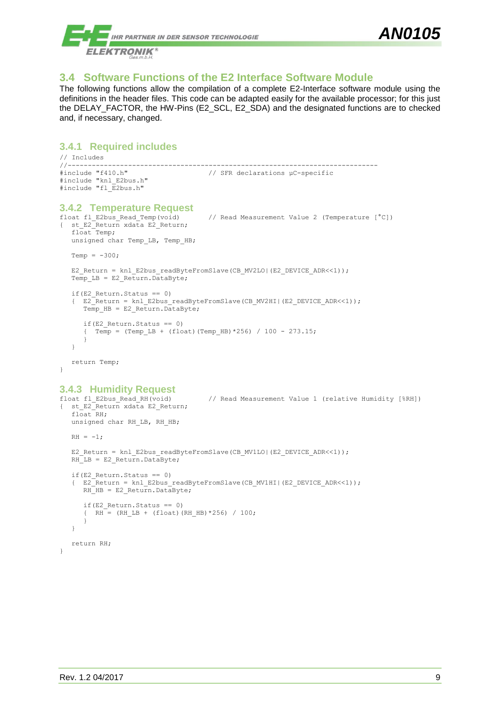

#### <span id="page-9-0"></span>**3.4 Software Functions of the E2 Interface Software Module**

The following functions allow the compilation of a complete E2-Interface software module using the definitions in the header files. This code can be adapted easily for the available processor; for this just the DELAY\_FACTOR, the HW-Pins (E2\_SCL, E2\_SDA) and the designated functions are to checked and, if necessary, changed.

```
3.4.1 Required includes
// Includes
//-----------------------------------------------------------------------------
                                    // SFR declarations uC-specific
#include "knl_E2bus.h"
#include "fl_E2bus.h"
3.4.2 Temperature Request
                                     // Read Measurement Value 2 (Temperature [^{\circ}C])
{ st_E2_Return xdata E2_Return;
  float Temp;
  unsigned char Temp LB, Temp HB;
  Temn = -300:
  E2_Return = knl_E2bus_readByteFromSlave(CB_MV2LO|(E2_DEVICE_ADR<<1));
  Temp LB = E2 Return. DataByte;
  if(E2 Return.Status == 0)
   { E2_Return = knl_E2bus_readByteFromSlave(CB_MV2HI|(E2_DEVICE_ADR<<1));
      Temp HB = E2 Return.DataByte;
     if(E2 Return.Status == 0)
      { Temp = (Temp LB + (float)(Temp HB)*256) / 100 - 273.15;
      }
   }
  return Temp;
}
3.4.3 Humidity Request
                                   // Read Measurement Value 1 (relative Humidity [%RH])
{ st_E2_Return xdata E2_Return;
  float RH;
  unsigned char RH LB, RH HB;
```
<span id="page-9-3"></span> $RH = -1;$ 

}

```
E2 Return = knl E2bus readByteFromSlave(CB_MV1LO|(E2_DEVICE_ADR <<1));
RH\overline{LB} = E2 Return.DataByte;
if(E2_Return.Status == 0)
{ E2<sup>-</sup>Return = knl E2bus readByteFromSlave(CB_MV1HI|(E2_DEVICE_ADR<<1));
  RH HB = E2 Return. DataByte;
   if(E2 Return.Status == 0)
   \overline{R} = (RH LB + (float)(RH HB)*256) / 100;
   }
}
return RH;
```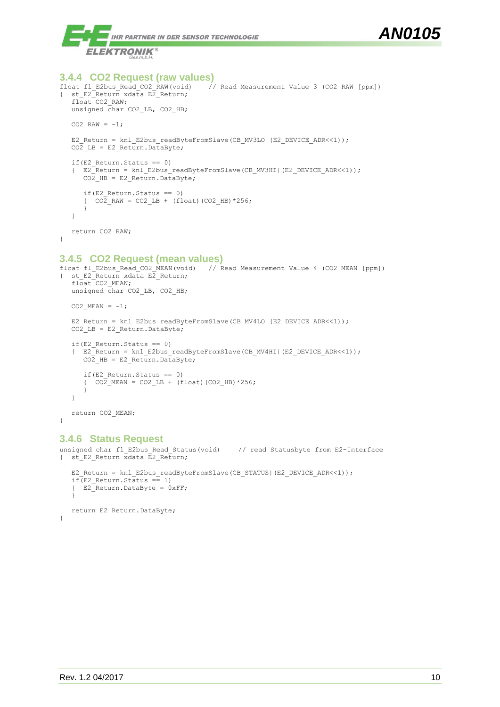



```
3.4.4 CO2 Request (raw values)
                                    // Read Measurement Value 3 (CO2 RAW [ppm])
{ st E2<sup>-</sup>Return xdata E2 Return;
  float CO2_RAW;
  unsigned char CO2 LB, CO2 HB;
  CO2 RAW = -1;
  E2_Return = knl_E2bus_readByteFromSlave(CB_MV3LO|(E2_DEVICE_ADR<<1));
  CO2_LB = E2_Return.DataByte;
  if(E2 Return.Status == 0)
   { E2_Return = knl_E2bus_readByteFromSlave(CB_MV3HI|(E2_DEVICE_ADR<<1));
     CO2_HB = E2_Return.DataByte;
     if(E2 Return.Status == 0)
      {^{\circ}} CO2 RAW = CO2 LB + (float)(CO2 HB) *256;
      }
   }
  return CO2_RAW;
}
```
#### <span id="page-10-1"></span>**3.4.5 CO2 Request (mean values)**

```
float fl_E2bus_Read_CO2_MEAN(void) // Read Measurement Value 4 (CO2 MEAN [ppm])
{ st E2<sup>-</sup>Return xdata E2 Return;
   float CO2 MEAN;
   unsigned char CO2 LB, CO2 HB;
  CO2 MEAN = -1;
   E2 Return = knl E2bus readByteFromSlave(CB_MV4LO|(E2_DEVICE_ADR<<1));
   CO<sub>2</sub> LB = E2 Return.DataByte;
   if(E2 Return.Status == 0)
   { E2_Return = knl_E2bus_readByteFromSlave(CB_MV4HI|(E2_DEVICE_ADR<<1));
     CO<sub>2</sub> HB = E2 Return.DataByte;
      if(E2 Return. Status == 0)
      { CO2 MEAN = CO2 LB + (float)(CO2 HB) *256;
      }
   }
   return CO2_MEAN;
```
#### <span id="page-10-2"></span>**3.4.6 Status Request**

}

```
unsigned char fl_E2bus Read Status(void) // read Statusbyte from E2-Interface
{ st E2 Return xdata E2 Return;
  E2_Return = knl_E2bus_readByteFromSlave(CB_STATUS|(E2_DEVICE_ADR<<1));
  if(E2 Return.Status == 1)
   {E2}Return.DataByte = 0xFF;
   }
  return E2_Return.DataByte;
}
```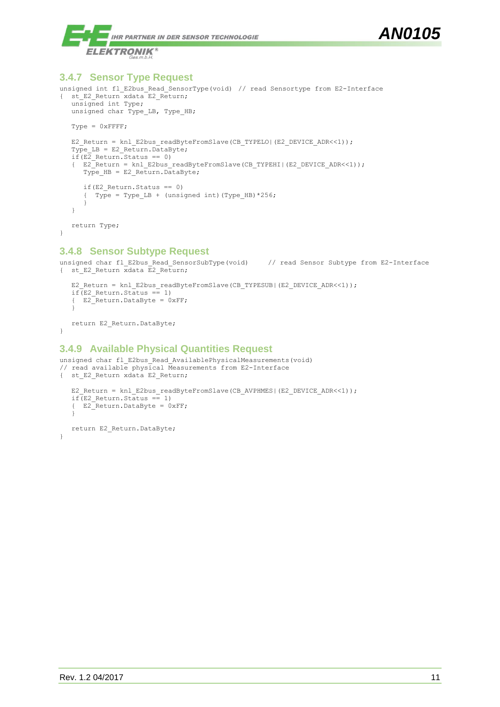

#### <span id="page-11-0"></span>**3.4.7 Sensor Type Request**

```
unsigned int fl_E2bus Read SensorType(void) // read Sensortype from E2-Interface
{ st E2 Return xdata E2 Return;
   unsigned int Type;
   unsigned char Type_LB, Type_HB;
   Type = 0xFFFF;
   E2 Return = knl E2bus readByteFromSlave(CB_TYPELO|(E2_DEVICE_ADR<<1));
   Type LB = E2 Return. DataByte;
   if(E2_Return.Status == 0)
   { E2_Return = knl_E2bus_readByteFromSlave(CB_TYPEHI|(E2_DEVICE_ADR<<1));
     Type HB = E2 Return. DataByte;
     if(E2_Return.Status == 0)
      { Type = Type LB + (unsigned int)(Type HB) *256;
      }
   }
   return Type;
}
```
#### <span id="page-11-1"></span>**3.4.8 Sensor Subtype Request**

```
unsigned char fl_E2bus_Read_SensorSubType(void) // read Sensor Subtype from E2-Interface
{ st E2 Return xdata E2 Return;
   E2 Return = knl E2bus readByteFromSlave(CB_TYPESUB|(E2_DEVICE_ADR<<1));
```

```
if(E2 Return. Status == 1)
{ E2_Return.DataByte = 0xFF;
}
```
return E2 Return.DataByte; }

#### <span id="page-11-2"></span>**3.4.9 Available Physical Quantities Request**

```
unsigned char fl_E2bus_Read AvailablePhysicalMeasurements(void)
// read available physical Measurements from E2-Interface
{ st_E2_Return xdata E2_Return;
   E2 Return = knl E2bus readByteFromSlave(CB_AVPHMES|(E2_DEVICE_ADR<<1));
   if(E2 Return.Status == 1)
   {E2}Return.DataByte = 0xFF;
   }
   return E2 Return.DataByte;
}
```
*AN0105*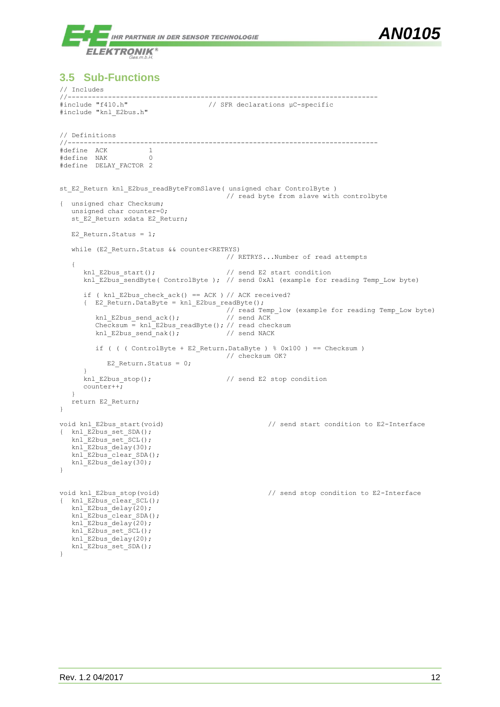

#### <span id="page-12-0"></span>**3.5 Sub-Functions**

```
// Includes<br>//-----------
//-----------------------------------------------------------------------------
                                 // SFR declarations µC-specific
#include "knl_E2bus.h"
// Definitions
//-----------------------------------------------------------------------------
#define ACK 1
#define NAK 0
#define DELAY FACTOR 2
st E2 Return knl E2bus readByteFromSlave( unsigned char ControlByte )
                                  // read byte from slave with controlbyte
{ unsigned char Checksum;
   unsigned char counter=0;
   st_E2_Return xdata E2_Return;
   E2 Return. Status = 1;while (E2 Return.Status && counter<RETRYS)
                                         // RETRYS...Number of read attempts
   {
      knl E2bus start(); \frac{1}{2} // send E2 start condition
      knl<sup>E2bus</sup> sendByte( ControlByte ); // send 0xA1 (example for reading Temp Low byte)
      if ( knl E2bus check ack() == ACK ) // ACK received?
      { E2 Return.DataByte = knl E2bus readByte();
                                         // read Temp_low (example for reading Temp_Low byte)<br>// send ACK
         knl E2bus send ack();
         Checksum = knl_E2bus_readByte(); // read checksum<br>knl E2bus send nak(); // send NACK
         knl E2bus send nak();
         if ( ( ( ControlByte + E2 Return.DataByte ) % 0x100 ) == Checksum )
                                         // checksum OK?
           E2 Return. Status = 0;}
      knl E2bus stop(); // send E2 stop condition
      counter++;}
   return E2_Return;
}
void knl E2bus start(void) \frac{1}{2} send start condition to E2-Interface
{ knl E2bus set SDA();
  knl_E2bus_set_SCL();
   knlE2busdelay(30);
  knlE2bus\text{clear} SDA();
   knlE2bus delay(30);
}
void knl E2bus stop(void) \frac{1}{2} // send stop condition to E2-Interface
{ knl_E2bus_clear_SCL();
   knlE2busdelay(20);
  knl E2bus clear SDA();
   knl E2bus delay(20);
   knl E2bus set SCL();
   knl<sup>Knl</sup>R2busdelay(20);
   knlE2bus set SDA();
}
```
*AN0105*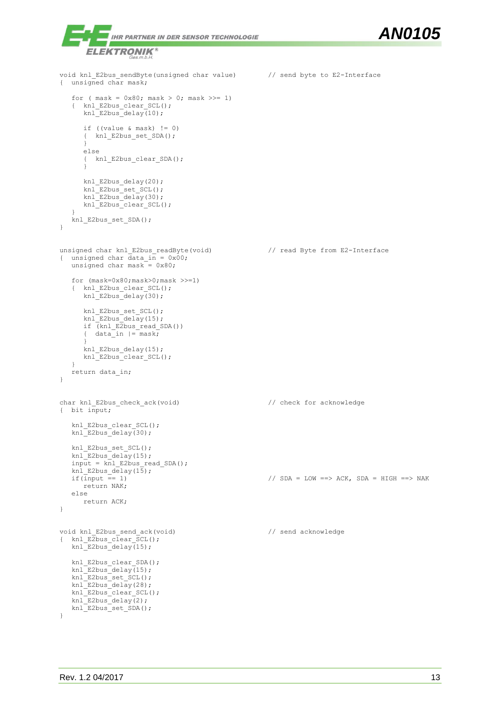```
AN0105
             IHR PARTNER IN DER SENSOR TECHNOLOGIE
       ELEKTRONIK
                   s m b fvoid knl E2bus sendByte(unsigned char value) // send byte to E2-Interface
{ unsigned char mask;
   for ( mask = 0x80; mask > 0; mask >> = 1)
   { knl_E2bus_clear_SCL();
      knl E2bus delay(10);
      if ((value \& mask) != 0)
      { knl_E2bus_set_SDA();
      }
      else
      { knl_E2bus_clear_SDA();
      }
     knl E2bus delay(20);
      knl E2bus set SCL();
      knl E2bus delay(30);
      knl E2bus clear SCL();
   }
   knl E2bus set SDA();
}
unsigned char knl E2bus readByte(void) // read Byte from E2-Interface
{ unsigned char data_in = 0x00;
  unsigned char mask = 0x80;
   for (mask=0x80;mask>0;mask >>=1)
   { knl_E2bus_clear_SCL();
      knl E2bus delay(30);
      knl E2bus set SCL();
     knl E2bus delav(15);
      if (knl_E2bus_read_SDA())
      { data<sup>n</sup> | = mask;}
      knl E2bus delay(15);
      knl E2bus clear SCL();
   }
   return data_in;
}
char knl_E2bus_check_ack(void) \sqrt{2} // check for acknowledge
{ bit input;
   knl_E2bus_clear_SCL();
   knlE2busdelay(30);
   knl E2bus set SCL();
   knl E2bus delay(15);
   invut = knl_E2bus\_read_SDA();
   \text{knl}_\text{E2bus}\_\text{delay}(15);<br>if(input == 1)
                                                    i/ SDA = LOW ==> ACK, SDA = HIGH ==> NAK
     return NAK;
   else
     return ACK;
}
void knl E2bus send ack(void) \frac{1}{2} // send acknowledge
{ knl E2bus clear SCL();
   knlE2busdelay(15);
   knl_E2bus_clear_SDA();
   knl E2bus delay(15);
   knlE2bus set SCL();
   knl E2bus delay(28);
   knl E2bus clear SCL();
   knl E2bus delay(2);
   knl_E2bus_set_SDA();
}
```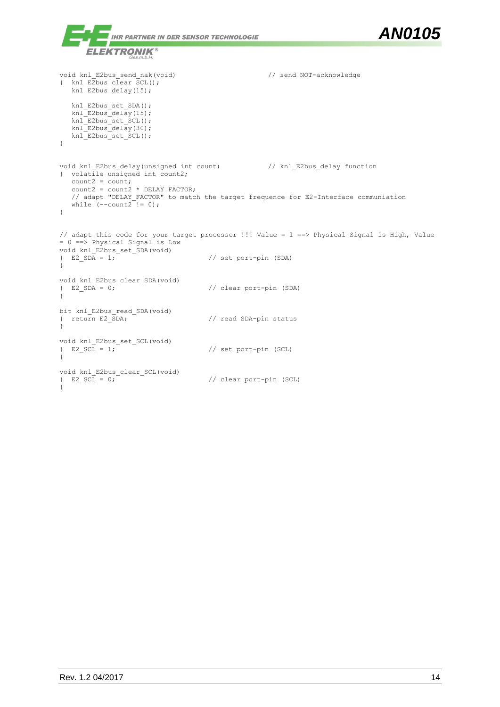```
AN0105
             IHR PARTNER IN DER SENSOR TECHNOLOGIE
            70
       ELEKTRONIK®
                    \frac{25}{3} m b H
void knl E2bus send nak(void) \frac{1}{2} // send NOT-acknowledge
{ knl_E2bus_clear_SCL();
   knl E2bus delay(15);
   knl_E2bus_set_SDA();
   knlE2busdelay(15);
   knlE2bus set_SCL();
   knl E2bus delay(30);
   knl E2bus set SCL();
}
void knl_E2bus_delay(unsigned int count) // knl_E2bus_delay function
{ volatile unsigned int count2;
   count2 = count;count2 = count2 * DELAY FACTOR;// adapt "DELAY FACTOR" to match the target frequence for E2-Interface communiation
   while (--count2^{-}!= 0);
}
// adapt this code for your target processor !!! Value = 1 ==> Physical Signal is High, Value 
= 0 ==> Physical Signal is Low
void knl_E2bus_set_SDA(void)<br>{ E2_SDA = 1;
                                        // set port-pin (SDA)
}
void knl_E2bus_clear_SDA(void)<br>{ E2_SDA = 0;
                                        // clear port-pin (SDA)
}
bit knl_E2bus_read_SDA(void)<br>{ return E2 SDA;
                                        // read SDA-pin status
}
void knl_E2bus_set_SCL(void)<br>{ E2 SCL = 1;
                                        // set port-pin (SCL)
}
void knl_E2bus_clear_SCL(void)<br>{ E2 SCL = 0;
                                       // clear port-pin (SCL)
}
```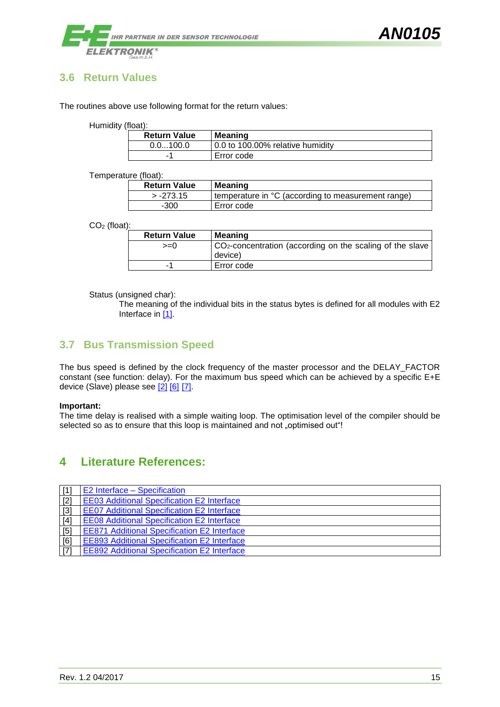

#### <span id="page-15-0"></span>**3.6 Return Values**

The routines above use following format for the return values:

Humidity (float):

| <b>Return Value</b> | <b>Meaning</b>                   |
|---------------------|----------------------------------|
| 0.0100.0            | 0.0 to 100.00% relative humidity |
| -                   | Error code                       |

Temperature (float):

| <b>Return Value</b> | <b>Meaning</b>                                      |
|---------------------|-----------------------------------------------------|
| $> -273.15$         | (temperature in °C (according to measurement range) |
| $-300$              | Error code                                          |

CO<sup>2</sup> (float):

| <b>Return Value</b> | Meaning                                                               |
|---------------------|-----------------------------------------------------------------------|
| $>=0$               | CO <sub>2</sub> -concentration (according on the scaling of the slave |
|                     | device)                                                               |
|                     | Error code                                                            |

Status (unsigned char):

The meaning of the individual bits in the status bytes is defined for all modules with E2 Interface in [\[1\].](#page-2-0)

#### <span id="page-15-1"></span>**3.7 Bus Transmission Speed**

The bus speed is defined by the clock frequency of the master processor and the DELAY\_FACTOR constant (see function: delay). For the maximum bus speed which can be achieved by a specific E+E device (Slave) please see [\[2\]](#page-15-3) [\[6\]](#page-15-4) [\[7\].](#page-15-3)

#### **Important:**

The time delay is realised with a simple waiting loop. The optimisation level of the compiler should be selected so as to ensure that this loop is maintained and not "optimised out"!

#### <span id="page-15-2"></span>**4 Literature References:**

<span id="page-15-4"></span><span id="page-15-3"></span>

| $\lceil 1 \rceil$ | E2 Interface – Specification                       |
|-------------------|----------------------------------------------------|
| $[2]$             | <b>EE03 Additional Specification E2 Interface</b>  |
| $[3]$             | <b>EE07 Additional Specification E2 Interface</b>  |
| $[4]$             | <b>EE08 Additional Specification E2 Interface</b>  |
| [5]               | <b>EE871 Additional Specification E2 Interface</b> |
| [6]               | <b>EE893 Additional Specification E2 Interface</b> |
| $\sqrt{71}$       | <b>EE892 Additional Specification E2 Interface</b> |